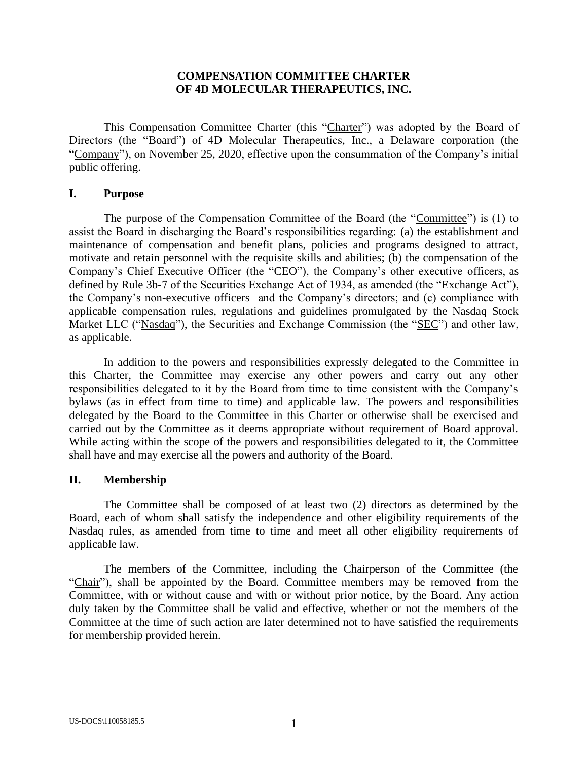## **COMPENSATION COMMITTEE CHARTER OF 4D MOLECULAR THERAPEUTICS, INC.**

This Compensation Committee Charter (this "Charter") was adopted by the Board of Directors (the "Board") of 4D Molecular Therapeutics, Inc., a Delaware corporation (the "Company"), on November 25, 2020, effective upon the consummation of the Company's initial public offering.

#### **I. Purpose**

The purpose of the Compensation Committee of the Board (the "Committee") is (1) to assist the Board in discharging the Board's responsibilities regarding: (a) the establishment and maintenance of compensation and benefit plans, policies and programs designed to attract, motivate and retain personnel with the requisite skills and abilities; (b) the compensation of the Company's Chief Executive Officer (the "CEO"), the Company's other executive officers, as defined by Rule 3b-7 of the Securities Exchange Act of 1934, as amended (the "Exchange Act"), the Company's non-executive officers and the Company's directors; and (c) compliance with applicable compensation rules, regulations and guidelines promulgated by the Nasdaq Stock Market LLC ("Nasdaq"), the Securities and Exchange Commission (the "SEC") and other law, as applicable.

In addition to the powers and responsibilities expressly delegated to the Committee in this Charter, the Committee may exercise any other powers and carry out any other responsibilities delegated to it by the Board from time to time consistent with the Company's bylaws (as in effect from time to time) and applicable law. The powers and responsibilities delegated by the Board to the Committee in this Charter or otherwise shall be exercised and carried out by the Committee as it deems appropriate without requirement of Board approval. While acting within the scope of the powers and responsibilities delegated to it, the Committee shall have and may exercise all the powers and authority of the Board.

### **II. Membership**

The Committee shall be composed of at least two (2) directors as determined by the Board, each of whom shall satisfy the independence and other eligibility requirements of the Nasdaq rules, as amended from time to time and meet all other eligibility requirements of applicable law.

The members of the Committee, including the Chairperson of the Committee (the "Chair"), shall be appointed by the Board. Committee members may be removed from the Committee, with or without cause and with or without prior notice, by the Board. Any action duly taken by the Committee shall be valid and effective, whether or not the members of the Committee at the time of such action are later determined not to have satisfied the requirements for membership provided herein.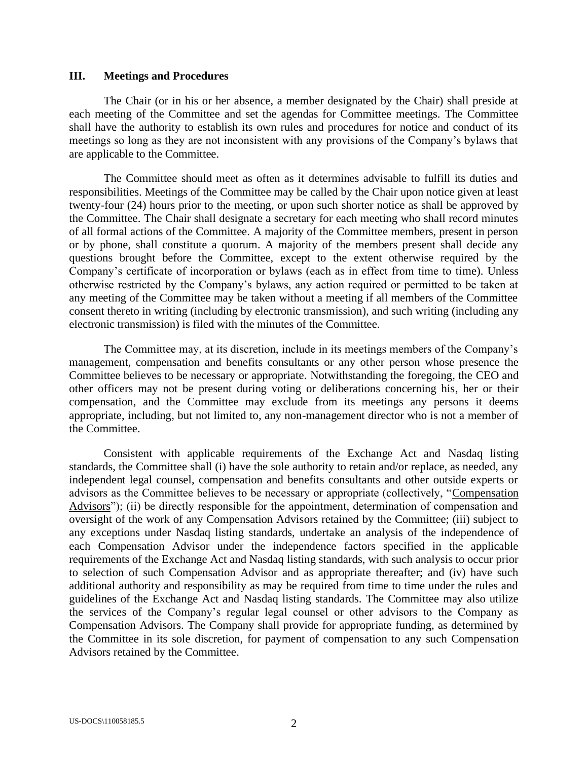#### **III. Meetings and Procedures**

The Chair (or in his or her absence, a member designated by the Chair) shall preside at each meeting of the Committee and set the agendas for Committee meetings. The Committee shall have the authority to establish its own rules and procedures for notice and conduct of its meetings so long as they are not inconsistent with any provisions of the Company's bylaws that are applicable to the Committee.

The Committee should meet as often as it determines advisable to fulfill its duties and responsibilities. Meetings of the Committee may be called by the Chair upon notice given at least twenty-four (24) hours prior to the meeting, or upon such shorter notice as shall be approved by the Committee. The Chair shall designate a secretary for each meeting who shall record minutes of all formal actions of the Committee. A majority of the Committee members, present in person or by phone, shall constitute a quorum. A majority of the members present shall decide any questions brought before the Committee, except to the extent otherwise required by the Company's certificate of incorporation or bylaws (each as in effect from time to time). Unless otherwise restricted by the Company's bylaws, any action required or permitted to be taken at any meeting of the Committee may be taken without a meeting if all members of the Committee consent thereto in writing (including by electronic transmission), and such writing (including any electronic transmission) is filed with the minutes of the Committee.

The Committee may, at its discretion, include in its meetings members of the Company's management, compensation and benefits consultants or any other person whose presence the Committee believes to be necessary or appropriate. Notwithstanding the foregoing, the CEO and other officers may not be present during voting or deliberations concerning his, her or their compensation, and the Committee may exclude from its meetings any persons it deems appropriate, including, but not limited to, any non-management director who is not a member of the Committee.

Consistent with applicable requirements of the Exchange Act and Nasdaq listing standards, the Committee shall (i) have the sole authority to retain and/or replace, as needed, any independent legal counsel, compensation and benefits consultants and other outside experts or advisors as the Committee believes to be necessary or appropriate (collectively, "Compensation Advisors"); (ii) be directly responsible for the appointment, determination of compensation and oversight of the work of any Compensation Advisors retained by the Committee; (iii) subject to any exceptions under Nasdaq listing standards, undertake an analysis of the independence of each Compensation Advisor under the independence factors specified in the applicable requirements of the Exchange Act and Nasdaq listing standards, with such analysis to occur prior to selection of such Compensation Advisor and as appropriate thereafter; and (iv) have such additional authority and responsibility as may be required from time to time under the rules and guidelines of the Exchange Act and Nasdaq listing standards. The Committee may also utilize the services of the Company's regular legal counsel or other advisors to the Company as Compensation Advisors. The Company shall provide for appropriate funding, as determined by the Committee in its sole discretion, for payment of compensation to any such Compensation Advisors retained by the Committee.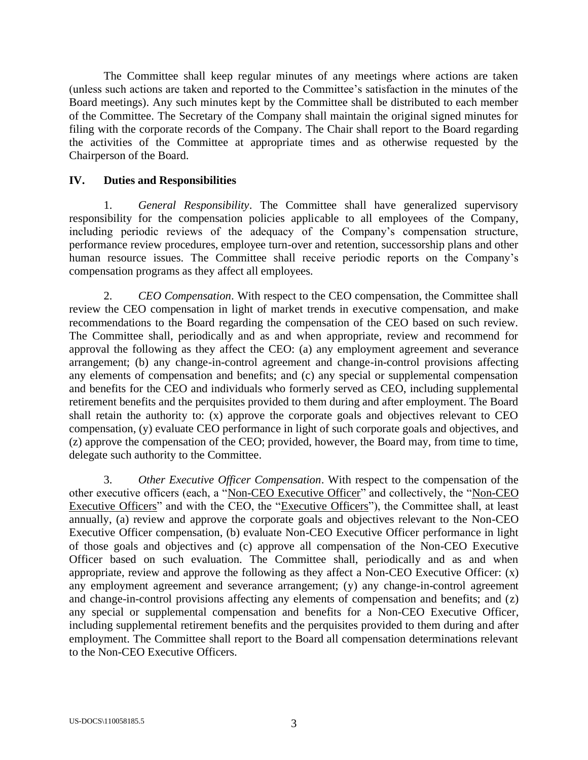The Committee shall keep regular minutes of any meetings where actions are taken (unless such actions are taken and reported to the Committee's satisfaction in the minutes of the Board meetings). Any such minutes kept by the Committee shall be distributed to each member of the Committee. The Secretary of the Company shall maintain the original signed minutes for filing with the corporate records of the Company. The Chair shall report to the Board regarding the activities of the Committee at appropriate times and as otherwise requested by the Chairperson of the Board.

## **IV. Duties and Responsibilities**

1. *General Responsibility*. The Committee shall have generalized supervisory responsibility for the compensation policies applicable to all employees of the Company, including periodic reviews of the adequacy of the Company's compensation structure, performance review procedures, employee turn-over and retention, successorship plans and other human resource issues. The Committee shall receive periodic reports on the Company's compensation programs as they affect all employees.

2. *CEO Compensation*. With respect to the CEO compensation, the Committee shall review the CEO compensation in light of market trends in executive compensation, and make recommendations to the Board regarding the compensation of the CEO based on such review. The Committee shall, periodically and as and when appropriate, review and recommend for approval the following as they affect the CEO: (a) any employment agreement and severance arrangement; (b) any change-in-control agreement and change-in-control provisions affecting any elements of compensation and benefits; and (c) any special or supplemental compensation and benefits for the CEO and individuals who formerly served as CEO, including supplemental retirement benefits and the perquisites provided to them during and after employment. The Board shall retain the authority to: (x) approve the corporate goals and objectives relevant to CEO compensation, (y) evaluate CEO performance in light of such corporate goals and objectives, and (z) approve the compensation of the CEO; provided, however, the Board may, from time to time, delegate such authority to the Committee.

3. *Other Executive Officer Compensation*. With respect to the compensation of the other executive officers (each, a "Non-CEO Executive Officer" and collectively, the "Non-CEO Executive Officers" and with the CEO, the "Executive Officers"), the Committee shall, at least annually, (a) review and approve the corporate goals and objectives relevant to the Non-CEO Executive Officer compensation, (b) evaluate Non-CEO Executive Officer performance in light of those goals and objectives and (c) approve all compensation of the Non-CEO Executive Officer based on such evaluation. The Committee shall, periodically and as and when appropriate, review and approve the following as they affect a Non-CEO Executive Officer: (x) any employment agreement and severance arrangement; (y) any change-in-control agreement and change-in-control provisions affecting any elements of compensation and benefits; and (z) any special or supplemental compensation and benefits for a Non-CEO Executive Officer, including supplemental retirement benefits and the perquisites provided to them during and after employment. The Committee shall report to the Board all compensation determinations relevant to the Non-CEO Executive Officers.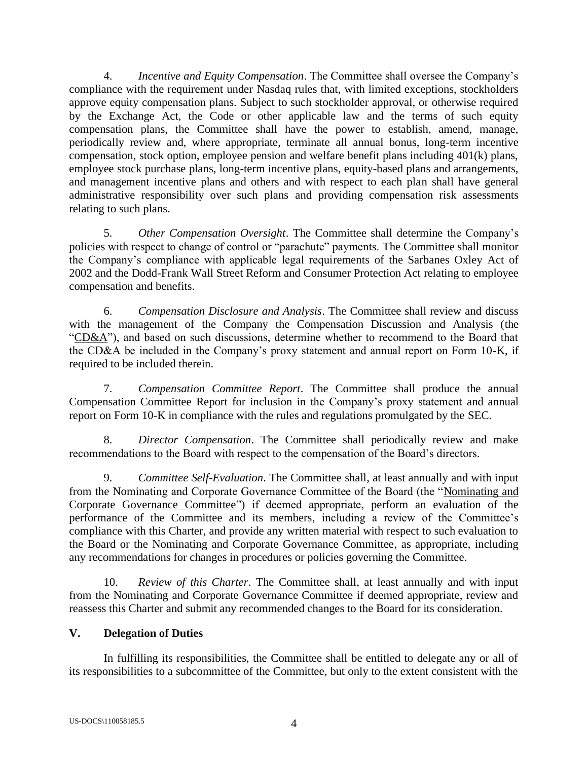4. *Incentive and Equity Compensation*. The Committee shall oversee the Company's compliance with the requirement under Nasdaq rules that, with limited exceptions, stockholders approve equity compensation plans. Subject to such stockholder approval, or otherwise required by the Exchange Act, the Code or other applicable law and the terms of such equity compensation plans, the Committee shall have the power to establish, amend, manage, periodically review and, where appropriate, terminate all annual bonus, long-term incentive compensation, stock option, employee pension and welfare benefit plans including 401(k) plans, employee stock purchase plans, long-term incentive plans, equity-based plans and arrangements, and management incentive plans and others and with respect to each plan shall have general administrative responsibility over such plans and providing compensation risk assessments relating to such plans.

5. *Other Compensation Oversight*. The Committee shall determine the Company's policies with respect to change of control or "parachute" payments. The Committee shall monitor the Company's compliance with applicable legal requirements of the Sarbanes Oxley Act of 2002 and the Dodd-Frank Wall Street Reform and Consumer Protection Act relating to employee compensation and benefits.

6. *Compensation Disclosure and Analysis*. The Committee shall review and discuss with the management of the Company the Compensation Discussion and Analysis (the "CD&A"), and based on such discussions, determine whether to recommend to the Board that the CD&A be included in the Company's proxy statement and annual report on Form 10-K, if required to be included therein.

7. *Compensation Committee Report*. The Committee shall produce the annual Compensation Committee Report for inclusion in the Company's proxy statement and annual report on Form 10-K in compliance with the rules and regulations promulgated by the SEC.

8. *Director Compensation*. The Committee shall periodically review and make recommendations to the Board with respect to the compensation of the Board's directors.

9. *Committee Self-Evaluation*. The Committee shall, at least annually and with input from the Nominating and Corporate Governance Committee of the Board (the "Nominating and Corporate Governance Committee") if deemed appropriate, perform an evaluation of the performance of the Committee and its members, including a review of the Committee's compliance with this Charter, and provide any written material with respect to such evaluation to the Board or the Nominating and Corporate Governance Committee, as appropriate, including any recommendations for changes in procedures or policies governing the Committee.

10. *Review of this Charter*. The Committee shall, at least annually and with input from the Nominating and Corporate Governance Committee if deemed appropriate, review and reassess this Charter and submit any recommended changes to the Board for its consideration.

# **V. Delegation of Duties**

In fulfilling its responsibilities, the Committee shall be entitled to delegate any or all of its responsibilities to a subcommittee of the Committee, but only to the extent consistent with the